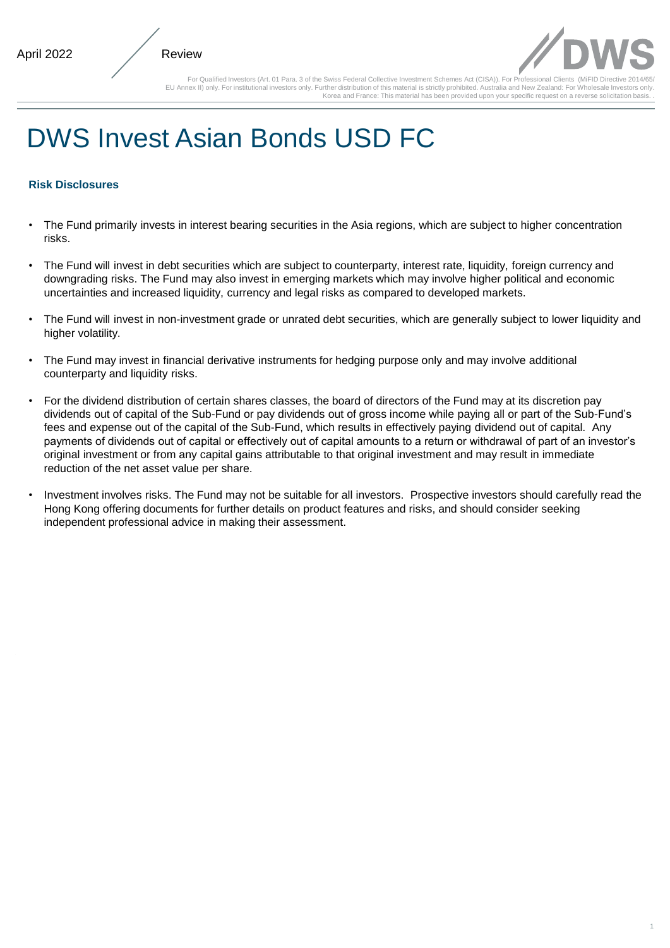

1

For Qualified Investors (Art. 01 Para. 3 of the Swiss Federal Collective Investment Schemes Act (CISA)). For Professional Clients (MiFID Directive EU Annex II) only. For institutional investors only. Further distribution of this material is strictly prohibited. Australia and New Zealand: For Wholesale Investors only. Korea and France: This material has been provided upon your specific request on a reverse solicitation ba

# DWS Invest Asian Bonds USD FC

# **Risk Disclosures**

- The Fund primarily invests in interest bearing securities in the Asia regions, which are subject to higher concentration risks.
- The Fund will invest in debt securities which are subject to counterparty, interest rate, liquidity, foreign currency and downgrading risks. The Fund may also invest in emerging markets which may involve higher political and economic uncertainties and increased liquidity, currency and legal risks as compared to developed markets.
- The Fund will invest in non-investment grade or unrated debt securities, which are generally subject to lower liquidity and higher volatility.
- The Fund may invest in financial derivative instruments for hedging purpose only and may involve additional counterparty and liquidity risks.
- For the dividend distribution of certain shares classes, the board of directors of the Fund may at its discretion pay dividends out of capital of the Sub-Fund or pay dividends out of gross income while paying all or part of the Sub-Fund's fees and expense out of the capital of the Sub-Fund, which results in effectively paying dividend out of capital. Any payments of dividends out of capital or effectively out of capital amounts to a return or withdrawal of part of an investor's original investment or from any capital gains attributable to that original investment and may result in immediate reduction of the net asset value per share.
- Investment involves risks. The Fund may not be suitable for all investors. Prospective investors should carefully read the Hong Kong offering documents for further details on product features and risks, and should consider seeking independent professional advice in making their assessment.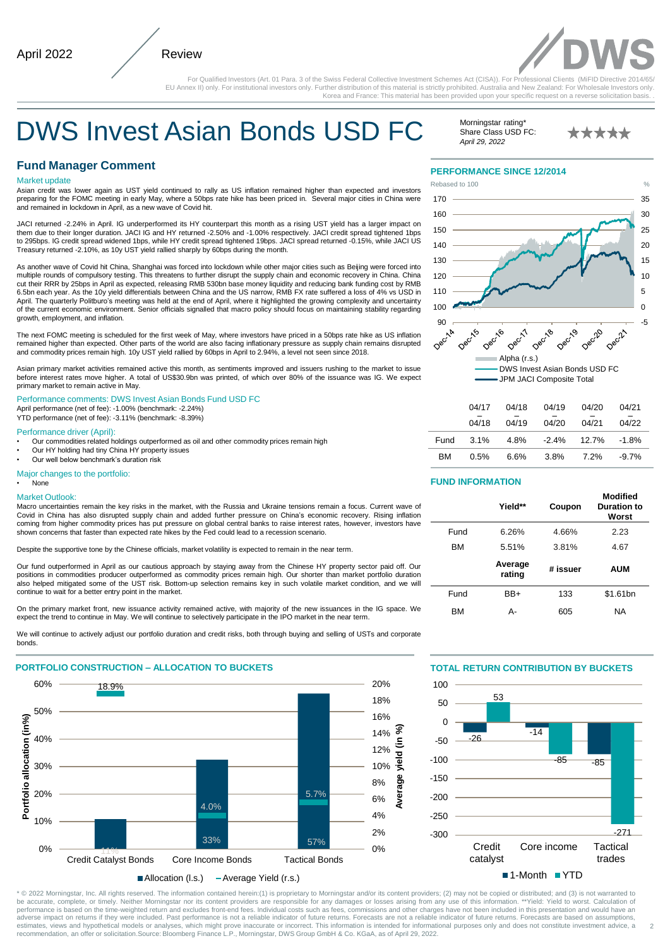

For Qualified Investors (Art. 01 Para. 3 of the Swiss Federal Collective Investment Schemes Act (CISA)). For Professional Clients (MiFID Directive 20 EU Annex II) only. For institutional investors only. Further distribution of this material is strictly prohibited. Australia and New Zealand: For Wholesale Investors only. Korea and France: This material has been provided upon your specific request on a reverse solicitation basi

# DWS Invest Asian Bonds USD FC

# **Fund Manager Comment**

#### Market update

Asian credit was lower again as UST yield continued to rally as US inflation remained higher than expected and investors preparing for the FOMC meeting in early May, where a 50bps rate hike has been priced in. Several major cities in China were and remained in lockdown in April, as a new wave of Covid hit.

JACI returned -2.24% in April. IG underperformed its HY counterpart this month as a rising UST yield has a larger impact on them due to their longer duration. JACI IG and HY returned -2.50% and -1.00% respectively. JACI credit spread tightened 1bps<br>to 295bps. IG credit spread widened 1bps, while HY credit spread tightened 19bps. JACI spread ret Treasury returned -2.10%, as 10y UST yield rallied sharply by 60bps during the month.

As another wave of Covid hit China, Shanghai was forced into lockdown while other major cities such as Beijing were forced into multiple rounds of compulsory testing. This threatens to further disrupt the supply chain and economic recovery in China. China cut their RRR by 25bps in April as expected, releasing RMB 530bn base money liquidity and reducing bank funding cost by RMB 6.5bn each year. As the 10y yield differentials between China and the US narrow, RMB FX rate suffered a loss of 4% vs USD in April. The quarterly Politburo's meeting was held at the end of April, where it highlighted the growing complexity and uncertainty of the current economic environment. Senior officials signalled that macro policy should focus on maintaining stability regarding growth, employment, and inflation.

The next FOMC meeting is scheduled for the first week of May, where investors have priced in a 50bps rate hike as US inflation remained higher than expected. Other parts of the world are also facing inflationary pressure as supply chain remains disrupted and commodity prices remain high. 10y UST yield rallied by 60bps in April to 2.94%, a level not seen since 2018.

Asian primary market activities remained active this month, as sentiments improved and issuers rushing to the market to issue before interest rates move higher. A total of US\$30.9bn was printed, of which over 80% of the issuance was IG. We expect primary market to remain active in May.

Performance comments: DWS Invest Asian Bonds Fund USD FC April performance (net of fee): -1.00% (benchmark: -2.24%)

YTD performance (net of fee): -3.11% (benchmark: -8.39%)

Performance driver (April):

- Our commodities related holdings outperformed as oil and other commodity prices remain high
- Our HY holding had tiny China HY property issues
- Our well below benchmark's duration risk

Major changes to the portfolio:

#### • None Market Outlook:

Macro uncertainties remain the key risks in the market, with the Russia and Ukraine tensions remain a focus. Current wave of Covid in China has also disrupted supply chain and added further pressure on China's economic recovery. Rising inflation coming from higher commodity prices has put pressure on global central banks to raise interest rates, however, investors have shown concerns that faster than expected rate hikes by the Fed could lead to a recession scenario.

Despite the supportive tone by the Chinese officials, market volatility is expected to remain in the near term.

Our fund outperformed in April as our cautious approach by staying away from the Chinese HY property sector paid off. Our positions in commodities producer outperformed as commodity prices remain high. Our shorter than market portfolio duration also helped mitigated some of the UST risk. Bottom-up selection remains key in such volatile market condition, and we will continue to wait for a better entry point in the market.

On the primary market front, new issuance activity remained active, with majority of the new issuances in the IG space. We expect the trend to continue in May. We will continue to selectively participate in the IPO market in the near term.

We will continue to actively adjust our portfolio duration and credit risks, both through buying and selling of USTs and corporate bonds.



Allocation (l.s.) - Average Yield (r.s.)

#### Morningstar rating<sup>®</sup> Share Class USD FC: *April 29, 2022*

\*\*\*\*\*

#### **PERFORMANCE SINCE 12/2014**



|           | 04/17 | 04/18 | 04/19 | 04/20                            | 04/21    |
|-----------|-------|-------|-------|----------------------------------|----------|
|           | 04/18 | 04/19 | 04/20 | 04/21                            | 04/22    |
|           |       |       |       | Fund 3.1% 4.8% -2.4% 12.7% -1.8% |          |
| <b>BM</b> | 0.5%  | 6.6%  | 3.8%  | $7.2\%$                          | $-9.7\%$ |

#### **FUND INFORMATION**

|           | Yield**           | Coupon   | Modified<br>Duration to<br>Worst |
|-----------|-------------------|----------|----------------------------------|
| Fund      | 6.26%             | 4.66%    | 2.23                             |
| <b>BM</b> | 5.51%             | 3.81%    | 4.67                             |
|           |                   |          |                                  |
|           | Average<br>rating | # issuer | <b>AUM</b>                       |
| Fund      | BB+               | 133      | \$1.61bn                         |

### **TOTAL RETURN CONTRIBUTION BY BUCKETS**



2

—— recommendation, an offer or solicitation.Source: Bloomberg Finance L.P., Morningstar, DWS Group GmbH & Co. KGaA, as of April 29, 2022. \* © 2022 Morningstar, Inc. All rights reserved. The information contained herein:(1) is proprietary to Morningstar and/or its content providers; (2) may not be copied or distributed; and (3) is not warranted to<br>be accurate adverse impact on returns if they were included. Past performance is not a reliable indicator of future returns. Forecasts are not a reliable indicator of future returns. Forecasts are based on assumptions, estimates, views and hypothetical models or analyses, which might prove inaccurate or incorrect. This information is intended for informational purposes only and does not constitute investment advice, a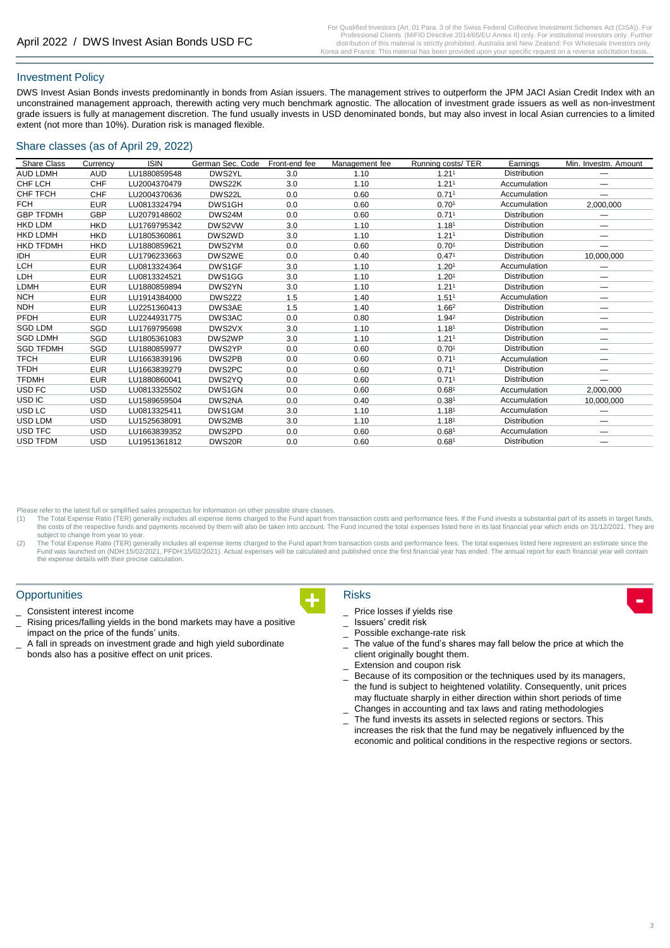# Investment Policy

DWS Invest Asian Bonds invests predominantly in bonds from Asian issuers. The management strives to outperform the JPM JACI Asian Credit Index with an unconstrained management approach, therewith acting very much benchmark agnostic. The allocation of investment grade issuers as well as non-investment grade issuers is fully at management discretion. The fund usually invests in USD denominated bonds, but may also invest in local Asian currencies to a limited extent (not more than 10%). Duration risk is managed flexible.

# Share classes (as of April 29, 2022)

| <b>Share Class</b> | Currency   | <b>ISIN</b>  | German Sec. Code | Front-end fee | Management fee | Running costs/ TER | Earnings            | Min. Investm. Amount |
|--------------------|------------|--------------|------------------|---------------|----------------|--------------------|---------------------|----------------------|
| <b>AUD LDMH</b>    | <b>AUD</b> | LU1880859548 | DWS2YL           | 3.0           | 1.10           | 1.21 <sup>1</sup>  | <b>Distribution</b> |                      |
| CHF LCH            | <b>CHF</b> | LU2004370479 | DWS22K           | 3.0           | 1.10           | 1.21 <sup>1</sup>  | Accumulation        |                      |
| <b>CHF TFCH</b>    | <b>CHF</b> | LU2004370636 | DWS22L           | 0.0           | 0.60           | 0.711              | Accumulation        |                      |
| <b>FCH</b>         | <b>EUR</b> | LU0813324794 | DWS1GH           | 0.0           | 0.60           | 0.70 <sup>1</sup>  | Accumulation        | 2,000,000            |
| <b>GBP TFDMH</b>   | <b>GBP</b> | LU2079148602 | DWS24M           | 0.0           | 0.60           | 0.711              | <b>Distribution</b> |                      |
| <b>HKD LDM</b>     | <b>HKD</b> | LU1769795342 | DWS2VW           | 3.0           | 1.10           | 1.18 <sup>1</sup>  | <b>Distribution</b> | –                    |
| <b>HKD LDMH</b>    | <b>HKD</b> | LU1805360861 | DWS2WD           | 3.0           | 1.10           | 1.21 <sup>1</sup>  | <b>Distribution</b> |                      |
| <b>HKD TFDMH</b>   | <b>HKD</b> | LU1880859621 | DWS2YM           | 0.0           | 0.60           | 0.70 <sup>1</sup>  | <b>Distribution</b> | —                    |
| <b>IDH</b>         | <b>EUR</b> | LU1796233663 | DWS2WE           | 0.0           | 0.40           | 0.471              | <b>Distribution</b> | 10,000,000           |
| <b>LCH</b>         | <b>EUR</b> | LU0813324364 | DWS1GF           | 3.0           | 1.10           | 1.20 <sup>1</sup>  | Accumulation        |                      |
| LDH                | <b>EUR</b> | LU0813324521 | DWS1GG           | 3.0           | 1.10           | 1.20 <sup>1</sup>  | <b>Distribution</b> |                      |
| LDMH               | <b>EUR</b> | LU1880859894 | DWS2YN           | 3.0           | 1.10           | 1.21 <sup>1</sup>  | <b>Distribution</b> |                      |
| <b>NCH</b>         | <b>EUR</b> | LU1914384000 | DWS2Z2           | 1.5           | 1.40           | 1.51 <sup>1</sup>  | Accumulation        |                      |
| <b>NDH</b>         | <b>EUR</b> | LU2251360413 | DWS3AE           | 1.5           | 1.40           | 1.662              | <b>Distribution</b> | —                    |
| <b>PFDH</b>        | <b>EUR</b> | LU2244931775 | DWS3AC           | 0.0           | 0.80           | 1.942              | <b>Distribution</b> | –                    |
| <b>SGD LDM</b>     | SGD        | LU1769795698 | DWS2VX           | 3.0           | 1.10           | 1.181              | <b>Distribution</b> | –                    |
| <b>SGD LDMH</b>    | SGD        | LU1805361083 | DWS2WP           | 3.0           | 1.10           | 1.21 <sup>1</sup>  | <b>Distribution</b> | –                    |
| <b>SGD TFDMH</b>   | SGD        | LU1880859977 | DWS2YP           | 0.0           | 0.60           | 0.70 <sup>1</sup>  | <b>Distribution</b> |                      |
| <b>TFCH</b>        | <b>EUR</b> | LU1663839196 | DWS2PB           | 0.0           | 0.60           | 0.711              | Accumulation        | —                    |
| <b>TFDH</b>        | <b>EUR</b> | LU1663839279 | DWS2PC           | 0.0           | 0.60           | 0.711              | <b>Distribution</b> | —                    |
| <b>TFDMH</b>       | <b>EUR</b> | LU1880860041 | DWS2YQ           | 0.0           | 0.60           | 0.711              | <b>Distribution</b> |                      |
| USD FC             | USD        | LU0813325502 | DWS1GN           | 0.0           | 0.60           | 0.68 <sup>1</sup>  | Accumulation        | 2,000,000            |
| USD IC             | USD        | LU1589659504 | DWS2NA           | 0.0           | 0.40           | 0.38 <sup>1</sup>  | Accumulation        | 10,000,000           |
| USD <sub>LC</sub>  | <b>USD</b> | LU0813325411 | DWS1GM           | 3.0           | 1.10           | 1.181              | Accumulation        |                      |
| USD LDM            | USD        | LU1525638091 | DWS2MB           | 3.0           | 1.10           | 1.181              | Distribution        | —                    |
| USD TFC            | USD        | LU1663839352 | DWS2PD           | 0.0           | 0.60           | 0.681              | Accumulation        |                      |
| <b>USD TFDM</b>    | USD        | LU1951361812 | DWS20R           | 0.0           | 0.60           | 0.681              | <b>Distribution</b> |                      |

Please refer to the latest full or simplified sales prospectus for information on other possible share classes.

- (1) The Total Expense Ratio (TER) generally includes all expense items charged to the Fund apart from transaction costs and performance fees. If the Fund invests a substantial part of its assets in target funds, the costs of the respective funds and payments received by them will also be taken into account. The Fund incurred the total expenses listed here in its last financial year which ends on 31/12/2021. They are subject to change from year to year.
- (2) The Total Expense Ratio (TER) generally includes all expense items charged to the Fund apart from transaction costs and performance fees. The total expenses listed here represent an estimate since the Fund was launched on (NDH:15/02/2021, PFDH:15/02/2021). Actual expenses will be calculated and published once the first financial year has ended. The annual report for each financial year will contain the expense details with their precise calculation.

#### **Opportunities**

- \_ Consistent interest income
- Rising prices/falling yields in the bond markets may have a positive impact on the price of the funds' units.
- A fall in spreads on investment grade and high yield subordinate bonds also has a positive effect on unit prices.

# Risks

- **+ -** Price losses if yields rise
	- \_ Issuers' credit risk
	- Possible exchange-rate risk
	- The value of the fund's shares may fall below the price at which the client originally bought them.
	- Extension and coupon risk
	- Because of its composition or the techniques used by its managers, the fund is subject to heightened volatility. Consequently, unit prices may fluctuate sharply in either direction within short periods of time Changes in accounting and tax laws and rating methodologies
	- The fund invests its assets in selected regions or sectors. This
	- increases the risk that the fund may be negatively influenced by the economic and political conditions in the respective regions or sectors.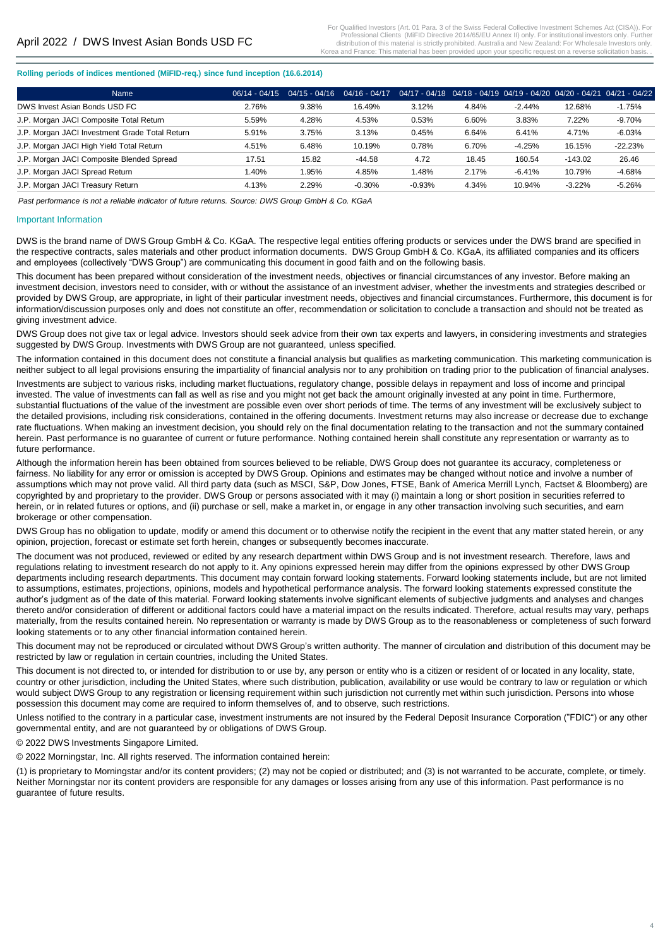#### **Rolling periods of indices mentioned (MiFID-req.) since fund inception (16.6.2014)**

| Name                                           | $06/14 - 04/15$ | $04/15 - 04/16$ | $04/16 - 04/17$ |          | $04/17 - 04/18 - 04/18 - 04/19 - 04/19 - 04/20 - 04/20 - 04/21 - 04/21 - 04/22$ |          |           |           |
|------------------------------------------------|-----------------|-----------------|-----------------|----------|---------------------------------------------------------------------------------|----------|-----------|-----------|
| DWS Invest Asian Bonds USD FC                  | 2.76%           | 9.38%           | 16.49%          | 3.12%    | 4.84%                                                                           | $-2.44%$ | 12.68%    | $-1.75%$  |
| J.P. Morgan JACI Composite Total Return        | 5.59%           | 4.28%           | 4.53%           | 0.53%    | 6.60%                                                                           | 3.83%    | 7.22%     | $-9.70%$  |
| J.P. Morgan JACI Investment Grade Total Return | 5.91%           | 3.75%           | 3.13%           | 0.45%    | 6.64%                                                                           | 6.41%    | 4.71%     | $-6.03%$  |
| J.P. Morgan JACI High Yield Total Return       | 4.51%           | 6.48%           | 10.19%          | 0.78%    | 6.70%                                                                           | $-4.25%$ | 16.15%    | $-22.23%$ |
| J.P. Morgan JACI Composite Blended Spread      | 17.51           | 15.82           | -44.58          | 4.72     | 18.45                                                                           | 160.54   | $-143.02$ | 26.46     |
| J.P. Morgan JACI Spread Return                 | 1.40%           | .95%            | 4.85%           | .48%     | 2.17%                                                                           | $-6.41%$ | 10.79%    | $-4.68%$  |
| J.P. Morgan JACI Treasury Return               | 4.13%           | 2.29%           | $-0.30%$        | $-0.93%$ | 4.34%                                                                           | 10.94%   | $-3.22%$  | $-5.26%$  |

*Past performance is not a reliable indicator of future returns. Source: DWS Group GmbH & Co. KGaA*

#### Important Information

DWS is the brand name of DWS Group GmbH & Co. KGaA. The respective legal entities offering products or services under the DWS brand are specified in the respective contracts, sales materials and other product information documents. DWS Group GmbH & Co. KGaA, its affiliated companies and its officers and employees (collectively "DWS Group") are communicating this document in good faith and on the following basis.

This document has been prepared without consideration of the investment needs, objectives or financial circumstances of any investor. Before making an investment decision, investors need to consider, with or without the assistance of an investment adviser, whether the investments and strategies described or provided by DWS Group, are appropriate, in light of their particular investment needs, objectives and financial circumstances. Furthermore, this document is for information/discussion purposes only and does not constitute an offer, recommendation or solicitation to conclude a transaction and should not be treated as giving investment advice.

DWS Group does not give tax or legal advice. Investors should seek advice from their own tax experts and lawyers, in considering investments and strategies suggested by DWS Group. Investments with DWS Group are not guaranteed, unless specified.

The information contained in this document does not constitute a financial analysis but qualifies as marketing communication. This marketing communication is neither subject to all legal provisions ensuring the impartiality of financial analysis nor to any prohibition on trading prior to the publication of financial analyses.

Investments are subject to various risks, including market fluctuations, regulatory change, possible delays in repayment and loss of income and principal invested. The value of investments can fall as well as rise and you might not get back the amount originally invested at any point in time. Furthermore, substantial fluctuations of the value of the investment are possible even over short periods of time. The terms of any investment will be exclusively subject to the detailed provisions, including risk considerations, contained in the offering documents. Investment returns may also increase or decrease due to exchange rate fluctuations. When making an investment decision, you should rely on the final documentation relating to the transaction and not the summary contained herein. Past performance is no guarantee of current or future performance. Nothing contained herein shall constitute any representation or warranty as to future performance.

Although the information herein has been obtained from sources believed to be reliable, DWS Group does not guarantee its accuracy, completeness or fairness. No liability for any error or omission is accepted by DWS Group. Opinions and estimates may be changed without notice and involve a number of assumptions which may not prove valid. All third party data (such as MSCI, S&P, Dow Jones, FTSE, Bank of America Merrill Lynch, Factset & Bloomberg) are copyrighted by and proprietary to the provider. DWS Group or persons associated with it may (i) maintain a long or short position in securities referred to herein, or in related futures or options, and (ii) purchase or sell, make a market in, or engage in any other transaction involving such securities, and earn brokerage or other compensation.

DWS Group has no obligation to update, modify or amend this document or to otherwise notify the recipient in the event that any matter stated herein, or any opinion, projection, forecast or estimate set forth herein, changes or subsequently becomes inaccurate.

The document was not produced, reviewed or edited by any research department within DWS Group and is not investment research. Therefore, laws and regulations relating to investment research do not apply to it. Any opinions expressed herein may differ from the opinions expressed by other DWS Group departments including research departments. This document may contain forward looking statements. Forward looking statements include, but are not limited to assumptions, estimates, projections, opinions, models and hypothetical performance analysis. The forward looking statements expressed constitute the author's judgment as of the date of this material. Forward looking statements involve significant elements of subjective judgments and analyses and changes thereto and/or consideration of different or additional factors could have a material impact on the results indicated. Therefore, actual results may vary, perhaps materially, from the results contained herein. No representation or warranty is made by DWS Group as to the reasonableness or completeness of such forward looking statements or to any other financial information contained herein.

This document may not be reproduced or circulated without DWS Group's written authority. The manner of circulation and distribution of this document may be restricted by law or regulation in certain countries, including the United States.

This document is not directed to, or intended for distribution to or use by, any person or entity who is a citizen or resident of or located in any locality, state, country or other jurisdiction, including the United States, where such distribution, publication, availability or use would be contrary to law or regulation or which would subject DWS Group to any registration or licensing requirement within such jurisdiction not currently met within such jurisdiction. Persons into whose possession this document may come are required to inform themselves of, and to observe, such restrictions.

Unless notified to the contrary in a particular case, investment instruments are not insured by the Federal Deposit Insurance Corporation ("FDIC") or any other governmental entity, and are not guaranteed by or obligations of DWS Group.

© 2022 DWS Investments Singapore Limited.

© 2022 Morningstar, Inc. All rights reserved. The information contained herein:

(1) is proprietary to Morningstar and/or its content providers; (2) may not be copied or distributed; and (3) is not warranted to be accurate, complete, or timely. Neither Morningstar nor its content providers are responsible for any damages or losses arising from any use of this information. Past performance is no guarantee of future results.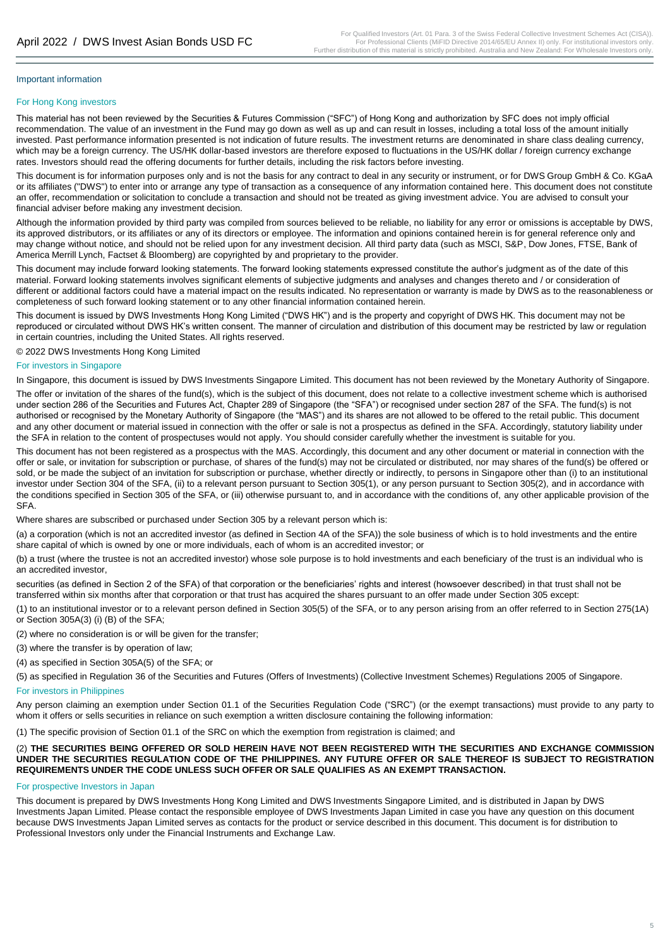# For Hong Kong investors

This material has not been reviewed by the Securities & Futures Commission ("SFC") of Hong Kong and authorization by SFC does not imply official recommendation. The value of an investment in the Fund may go down as well as up and can result in losses, including a total loss of the amount initially invested. Past performance information presented is not indication of future results. The investment returns are denominated in share class dealing currency, which may be a foreign currency. The US/HK dollar-based investors are therefore exposed to fluctuations in the US/HK dollar / foreign currency exchange rates. Investors should read the offering documents for further details, including the risk factors before investing.

This document is for information purposes only and is not the basis for any contract to deal in any security or instrument, or for DWS Group GmbH & Co. KGaA or its affiliates ("DWS") to enter into or arrange any type of transaction as a consequence of any information contained here. This document does not constitute an offer, recommendation or solicitation to conclude a transaction and should not be treated as giving investment advice. You are advised to consult your financial adviser before making any investment decision.

Although the information provided by third party was compiled from sources believed to be reliable, no liability for any error or omissions is acceptable by DWS, its approved distributors, or its affiliates or any of its directors or employee. The information and opinions contained herein is for general reference only and may change without notice, and should not be relied upon for any investment decision. All third party data (such as MSCI, S&P, Dow Jones, FTSE, Bank of America Merrill Lynch, Factset & Bloomberg) are copyrighted by and proprietary to the provider.

This document may include forward looking statements. The forward looking statements expressed constitute the author's judgment as of the date of this material. Forward looking statements involves significant elements of subjective judgments and analyses and changes thereto and / or consideration of different or additional factors could have a material impact on the results indicated. No representation or warranty is made by DWS as to the reasonableness or completeness of such forward looking statement or to any other financial information contained herein.

This document is issued by DWS Investments Hong Kong Limited ("DWS HK") and is the property and copyright of DWS HK. This document may not be reproduced or circulated without DWS HK's written consent. The manner of circulation and distribution of this document may be restricted by law or regulation in certain countries, including the United States. All rights reserved.

© 2022 DWS Investments Hong Kong Limited

#### For investors in Singapore

In Singapore, this document is issued by DWS Investments Singapore Limited. This document has not been reviewed by the Monetary Authority of Singapore.

The offer or invitation of the shares of the fund(s), which is the subject of this document, does not relate to a collective investment scheme which is authorised under section 286 of the Securities and Futures Act, Chapter 289 of Singapore (the "SFA") or recognised under section 287 of the SFA. The fund(s) is not authorised or recognised by the Monetary Authority of Singapore (the "MAS") and its shares are not allowed to be offered to the retail public. This document and any other document or material issued in connection with the offer or sale is not a prospectus as defined in the SFA. Accordingly, statutory liability under the SFA in relation to the content of prospectuses would not apply. You should consider carefully whether the investment is suitable for you.

This document has not been registered as a prospectus with the MAS. Accordingly, this document and any other document or material in connection with the offer or sale, or invitation for subscription or purchase, of shares of the fund(s) may not be circulated or distributed, nor may shares of the fund(s) be offered or sold, or be made the subject of an invitation for subscription or purchase, whether directly or indirectly, to persons in Singapore other than (i) to an institutional investor under Section 304 of the SFA, (ii) to a relevant person pursuant to Section 305(1), or any person pursuant to Section 305(2), and in accordance with the conditions specified in Section 305 of the SFA, or (iii) otherwise pursuant to, and in accordance with the conditions of, any other applicable provision of the SFA.

Where shares are subscribed or purchased under Section 305 by a relevant person which is:

(a) a corporation (which is not an accredited investor (as defined in Section 4A of the SFA)) the sole business of which is to hold investments and the entire share capital of which is owned by one or more individuals, each of whom is an accredited investor; or

(b) a trust (where the trustee is not an accredited investor) whose sole purpose is to hold investments and each beneficiary of the trust is an individual who is an accredited investor,

securities (as defined in Section 2 of the SFA) of that corporation or the beneficiaries' rights and interest (howsoever described) in that trust shall not be transferred within six months after that corporation or that trust has acquired the shares pursuant to an offer made under Section 305 except:

(1) to an institutional investor or to a relevant person defined in Section 305(5) of the SFA, or to any person arising from an offer referred to in Section 275(1A) or Section 305A(3) (i) (B) of the SFA;

(2) where no consideration is or will be given for the transfer;

(3) where the transfer is by operation of law;

(4) as specified in Section 305A(5) of the SFA; or

(5) as specified in Regulation 36 of the Securities and Futures (Offers of Investments) (Collective Investment Schemes) Regulations 2005 of Singapore.

#### For investors in Philippines

Any person claiming an exemption under Section 01.1 of the Securities Regulation Code ("SRC") (or the exempt transactions) must provide to any party to whom it offers or sells securities in reliance on such exemption a written disclosure containing the following information:

(1) The specific provision of Section 01.1 of the SRC on which the exemption from registration is claimed; and

#### (2) THE SECURITIES BEING OFFERED OR SOLD HEREIN HAVE NOT BEEN REGISTERED WITH THE SECURITIES AND EXCHANGE COMMISSION UNDER THE SECURITIES REGULATION CODE OF THE PHILIPPINES. ANY FUTURE OFFER OR SALE THEREOF IS SUBJECT TO REGISTRATION **REQUIREMENTS UNDER THE CODE UNLESS SUCH OFFER OR SALE QUALIFIES AS AN EXEMPT TRANSACTION.**

#### For prospective Investors in Japan

This document is prepared by DWS Investments Hong Kong Limited and DWS Investments Singapore Limited, and is distributed in Japan by DWS Investments Japan Limited. Please contact the responsible employee of DWS Investments Japan Limited in case you have any question on this document because DWS Investments Japan Limited serves as contacts for the product or service described in this document. This document is for distribution to Professional Investors only under the Financial Instruments and Exchange Law.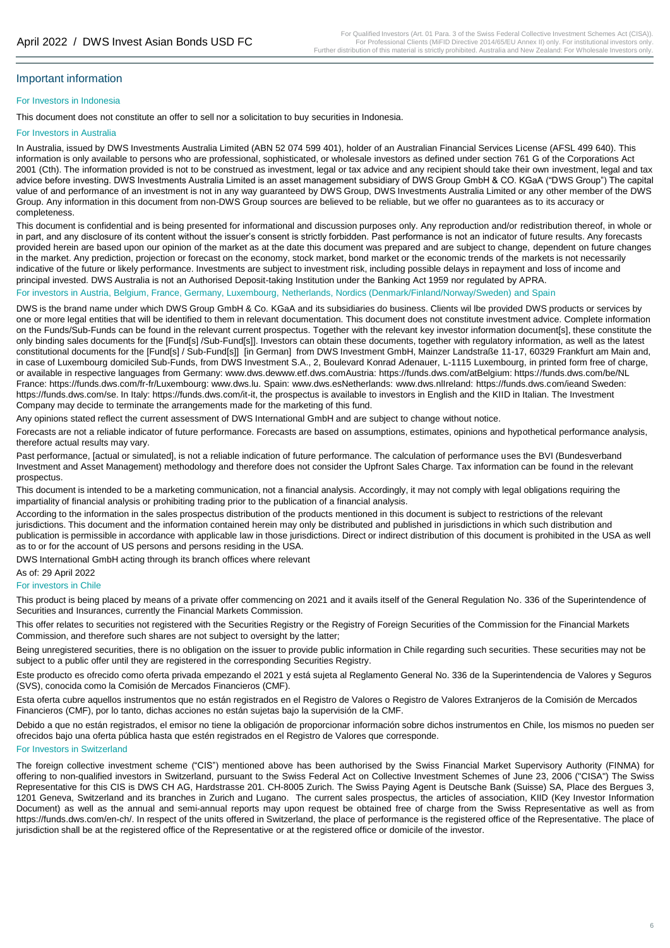#### For Investors in Indonesia

This document does not constitute an offer to sell nor a solicitation to buy securities in Indonesia.

#### For Investors in Australia

In Australia, issued by DWS Investments Australia Limited (ABN 52 074 599 401), holder of an Australian Financial Services License (AFSL 499 640). This information is only available to persons who are professional, sophisticated, or wholesale investors as defined under section 761 G of the Corporations Act 2001 (Cth). The information provided is not to be construed as investment, legal or tax advice and any recipient should take their own investment, legal and tax advice before investing. DWS Investments Australia Limited is an asset management subsidiary of DWS Group GmbH & CO. KGaA ("DWS Group") The capital value of and performance of an investment is not in any way guaranteed by DWS Group, DWS Investments Australia Limited or any other member of the DWS Group. Any information in this document from non-DWS Group sources are believed to be reliable, but we offer no guarantees as to its accuracy or completeness.

This document is confidential and is being presented for informational and discussion purposes only. Any reproduction and/or redistribution thereof, in whole or in part, and any disclosure of its content without the issuer's consent is strictly forbidden. Past performance is not an indicator of future results. Any forecasts provided herein are based upon our opinion of the market as at the date this document was prepared and are subject to change, dependent on future changes in the market. Any prediction, projection or forecast on the economy, stock market, bond market or the economic trends of the markets is not necessarily indicative of the future or likely performance. Investments are subject to investment risk, including possible delays in repayment and loss of income and principal invested. DWS Australia is not an Authorised Deposit-taking Institution under the Banking Act 1959 nor regulated by APRA.

#### For investors in Austria, Belgium, France, Germany, Luxembourg, Netherlands, Nordics (Denmark/Finland/Norway/Sweden) and Spain

DWS is the brand name under which DWS Group GmbH & Co. KGaA and its subsidiaries do business. Clients wil lbe provided DWS products or services by one or more legal entities that will be identified to them in relevant documentation. This document does not constitute investment advice. Complete information on the Funds/Sub-Funds can be found in the relevant current prospectus. Together with the relevant key investor information document[s], these constitute the only binding sales documents for the [Fund[s] /Sub-Fund[s]]. Investors can obtain these documents, together with regulatory information, as well as the latest constitutional documents for the [Fund[s] / Sub-Fund[s]] [in German] from DWS Investment GmbH, Mainzer Landstraße 11-17, 60329 Frankfurt am Main and, in case of Luxembourg domiciled Sub-Funds, from DWS Investment S.A., 2, Boulevard Konrad Adenauer, L-1115 Luxembourg, in printed form free of charge, or available in respective languages from Germany: www.dws.dewww.etf.dws.comAustria: https://funds.dws.com/atBelgium: https://funds.dws.com/be/NL France: https://funds.dws.com/fr-fr/Luxembourg: www.dws.lu. Spain: www.dws.esNetherlands: www.dws.nlIreland: https://funds.dws.com/ieand Sweden: https://funds.dws.com/se. In Italy: https://funds.dws.com/it-it, the prospectus is available to investors in English and the KIID in Italian. The Investment Company may decide to terminate the arrangements made for the marketing of this fund.

Any opinions stated reflect the current assessment of DWS International GmbH and are subject to change without notice.

Forecasts are not a reliable indicator of future performance. Forecasts are based on assumptions, estimates, opinions and hypothetical performance analysis, therefore actual results may vary.

Past performance, [actual or simulated], is not a reliable indication of future performance. The calculation of performance uses the BVI (Bundesverband Investment and Asset Management) methodology and therefore does not consider the Upfront Sales Charge. Tax information can be found in the relevant prospectus.

This document is intended to be a marketing communication, not a financial analysis. Accordingly, it may not comply with legal obligations requiring the impartiality of financial analysis or prohibiting trading prior to the publication of a financial analysis.

According to the information in the sales prospectus distribution of the products mentioned in this document is subject to restrictions of the relevant jurisdictions. This document and the information contained herein may only be distributed and published in jurisdictions in which such distribution and publication is permissible in accordance with applicable law in those jurisdictions. Direct or indirect distribution of this document is prohibited in the USA as well as to or for the account of US persons and persons residing in the USA.

DWS International GmbH acting through its branch offices where relevant

# As of: 29 April 2022

## For investors in Chile

This product is being placed by means of a private offer commencing on 2021 and it avails itself of the General Regulation No. 336 of the Superintendence of Securities and Insurances, currently the Financial Markets Commission.

This offer relates to securities not registered with the Securities Registry or the Registry of Foreign Securities of the Commission for the Financial Markets Commission, and therefore such shares are not subject to oversight by the latter;

Being unregistered securities, there is no obligation on the issuer to provide public information in Chile regarding such securities. These securities may not be subject to a public offer until they are registered in the corresponding Securities Registry.

Este producto es ofrecido como oferta privada empezando el 2021 y está sujeta al Reglamento General No. 336 de la Superintendencia de Valores y Seguros (SVS), conocida como la Comisión de Mercados Financieros (CMF).

Esta oferta cubre aquellos instrumentos que no están registrados en el Registro de Valores o Registro de Valores Extranjeros de la Comisión de Mercados Financieros (CMF), por lo tanto, dichas acciones no están sujetas bajo la supervisión de la CMF.

Debido a que no están registrados, el emisor no tiene la obligación de proporcionar información sobre dichos instrumentos en Chile, los mismos no pueden ser ofrecidos bajo una oferta pública hasta que estén registrados en el Registro de Valores que corresponde.

#### For Investors in Switzerland

The foreign collective investment scheme ("CIS") mentioned above has been authorised by the Swiss Financial Market Supervisory Authority (FINMA) for offering to non-qualified investors in Switzerland, pursuant to the Swiss Federal Act on Collective Investment Schemes of June 23, 2006 ("CISA") The Swiss Representative for this CIS is DWS CH AG, Hardstrasse 201. CH-8005 Zurich. The Swiss Paying Agent is Deutsche Bank (Suisse) SA, Place des Bergues 3, 1201 Geneva, Switzerland and its branches in Zurich and Lugano. The current sales prospectus, the articles of association, KIID (Key Investor Information Document) as well as the annual and semi-annual reports may upon request be obtained free of charge from the Swiss Representative as well as from https://funds.dws.com/en-ch/. In respect of the units offered in Switzerland, the place of performance is the registered office of the Representative. The place of jurisdiction shall be at the registered office of the Representative or at the registered office or domicile of the investor.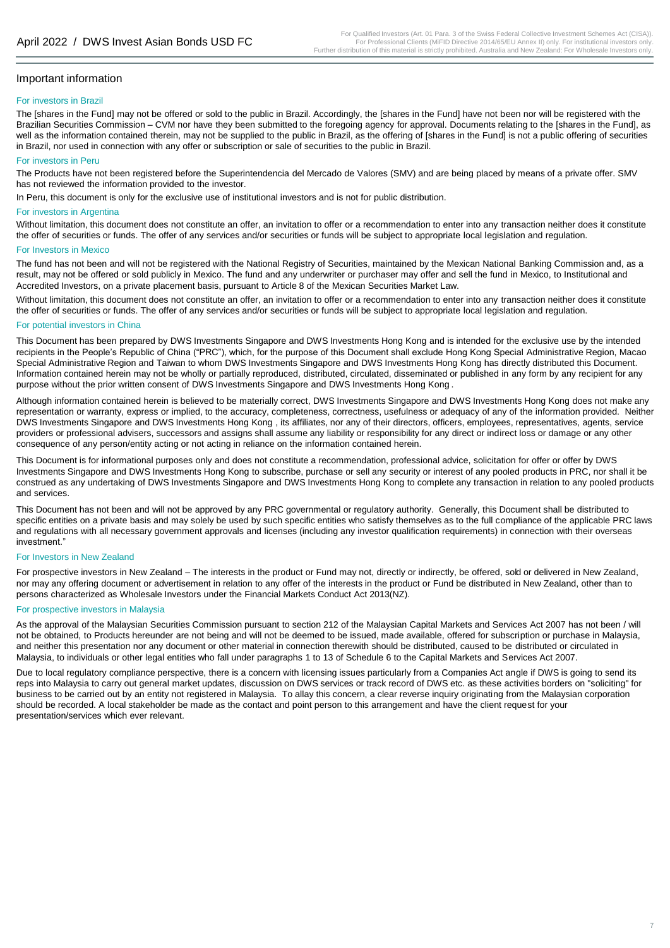#### For investors in Brazil

The [shares in the Fund] may not be offered or sold to the public in Brazil. Accordingly, the [shares in the Fund] have not been nor will be registered with the Brazilian Securities Commission – CVM nor have they been submitted to the foregoing agency for approval. Documents relating to the [shares in the Fund], as well as the information contained therein, may not be supplied to the public in Brazil, as the offering of [shares in the Fund] is not a public offering of securities in Brazil, nor used in connection with any offer or subscription or sale of securities to the public in Brazil.

#### For investors in Peru

The Products have not been registered before the Superintendencia del Mercado de Valores (SMV) and are being placed by means of a private offer. SMV has not reviewed the information provided to the investor.

In Peru, this document is only for the exclusive use of institutional investors and is not for public distribution.

#### For investors in Argentina

Without limitation, this document does not constitute an offer, an invitation to offer or a recommendation to enter into any transaction neither does it constitute the offer of securities or funds. The offer of any services and/or securities or funds will be subject to appropriate local legislation and regulation.

#### For Investors in Mexico

The fund has not been and will not be registered with the National Registry of Securities, maintained by the Mexican National Banking Commission and, as a result, may not be offered or sold publicly in Mexico. The fund and any underwriter or purchaser may offer and sell the fund in Mexico, to Institutional and Accredited Investors, on a private placement basis, pursuant to Article 8 of the Mexican Securities Market Law.

Without limitation, this document does not constitute an offer, an invitation to offer or a recommendation to enter into any transaction neither does it constitute the offer of securities or funds. The offer of any services and/or securities or funds will be subject to appropriate local legislation and regulation.

#### For potential investors in China

This Document has been prepared by DWS Investments Singapore and DWS Investments Hong Kong and is intended for the exclusive use by the intended recipients in the People's Republic of China ("PRC"), which, for the purpose of this Document shall exclude Hong Kong Special Administrative Region, Macao Special Administrative Region and Taiwan to whom DWS Investments Singapore and DWS Investments Hong Kong has directly distributed this Document. Information contained herein may not be wholly or partially reproduced, distributed, circulated, disseminated or published in any form by any recipient for any purpose without the prior written consent of DWS Investments Singapore and DWS Investments Hong Kong .

Although information contained herein is believed to be materially correct, DWS Investments Singapore and DWS Investments Hong Kong does not make any representation or warranty, express or implied, to the accuracy, completeness, correctness, usefulness or adequacy of any of the information provided. Neither DWS Investments Singapore and DWS Investments Hong Kong , its affiliates, nor any of their directors, officers, employees, representatives, agents, service providers or professional advisers, successors and assigns shall assume any liability or responsibility for any direct or indirect loss or damage or any other consequence of any person/entity acting or not acting in reliance on the information contained herein.

This Document is for informational purposes only and does not constitute a recommendation, professional advice, solicitation for offer or offer by DWS Investments Singapore and DWS Investments Hong Kong to subscribe, purchase or sell any security or interest of any pooled products in PRC, nor shall it be construed as any undertaking of DWS Investments Singapore and DWS Investments Hong Kong to complete any transaction in relation to any pooled products and services.

This Document has not been and will not be approved by any PRC governmental or regulatory authority. Generally, this Document shall be distributed to specific entities on a private basis and may solely be used by such specific entities who satisfy themselves as to the full compliance of the applicable PRC laws and regulations with all necessary government approvals and licenses (including any investor qualification requirements) in connection with their overseas investment."

#### For Investors in New Zealand

For prospective investors in New Zealand – The interests in the product or Fund may not, directly or indirectly, be offered, sold or delivered in New Zealand, nor may any offering document or advertisement in relation to any offer of the interests in the product or Fund be distributed in New Zealand, other than to persons characterized as Wholesale Investors under the Financial Markets Conduct Act 2013(NZ).

#### For prospective investors in Malaysia

As the approval of the Malaysian Securities Commission pursuant to section 212 of the Malaysian Capital Markets and Services Act 2007 has not been / will not be obtained, to Products hereunder are not being and will not be deemed to be issued, made available, offered for subscription or purchase in Malaysia, and neither this presentation nor any document or other material in connection therewith should be distributed, caused to be distributed or circulated in Malaysia, to individuals or other legal entities who fall under paragraphs 1 to 13 of Schedule 6 to the Capital Markets and Services Act 2007.

Due to local regulatory compliance perspective, there is a concern with licensing issues particularly from a Companies Act angle if DWS is going to send its reps into Malaysia to carry out general market updates, discussion on DWS services or track record of DWS etc. as these activities borders on "soliciting" for business to be carried out by an entity not registered in Malaysia. To allay this concern, a clear reverse inquiry originating from the Malaysian corporation should be recorded. A local stakeholder be made as the contact and point person to this arrangement and have the client request for your presentation/services which ever relevant.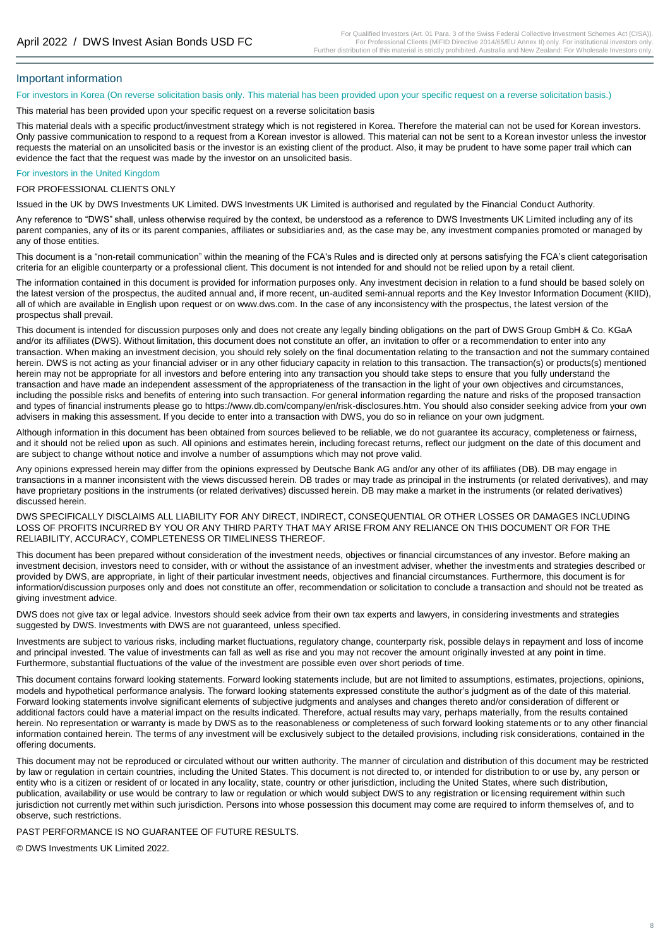For investors in Korea (On reverse solicitation basis only. This material has been provided upon your specific request on a reverse solicitation basis.)

This material has been provided upon your specific request on a reverse solicitation basis

This material deals with a specific product/investment strategy which is not registered in Korea. Therefore the material can not be used for Korean investors. Only passive communication to respond to a request from a Korean investor is allowed. This material can not be sent to a Korean investor unless the investor requests the material on an unsolicited basis or the investor is an existing client of the product. Also, it may be prudent to have some paper trail which can evidence the fact that the request was made by the investor on an unsolicited basis.

#### For investors in the United Kingdom

FOR PROFESSIONAL CLIENTS ONLY

Issued in the UK by DWS Investments UK Limited. DWS Investments UK Limited is authorised and regulated by the Financial Conduct Authority.

Any reference to "DWS" shall, unless otherwise required by the context, be understood as a reference to DWS Investments UK Limited including any of its parent companies, any of its or its parent companies, affiliates or subsidiaries and, as the case may be, any investment companies promoted or managed by any of those entities.

This document is a "non-retail communication" within the meaning of the FCA's Rules and is directed only at persons satisfying the FCA's client categorisation criteria for an eligible counterparty or a professional client. This document is not intended for and should not be relied upon by a retail client.

The information contained in this document is provided for information purposes only. Any investment decision in relation to a fund should be based solely on the latest version of the prospectus, the audited annual and, if more recent, un-audited semi-annual reports and the Key Investor Information Document (KIID), all of which are available in English upon request or on www.dws.com. In the case of any inconsistency with the prospectus, the latest version of the prospectus shall prevail.

This document is intended for discussion purposes only and does not create any legally binding obligations on the part of DWS Group GmbH & Co. KGaA and/or its affiliates (DWS). Without limitation, this document does not constitute an offer, an invitation to offer or a recommendation to enter into any transaction. When making an investment decision, you should rely solely on the final documentation relating to the transaction and not the summary contained herein. DWS is not acting as your financial adviser or in any other fiduciary capacity in relation to this transaction. The transaction(s) or products(s) mentioned herein may not be appropriate for all investors and before entering into any transaction you should take steps to ensure that you fully understand the transaction and have made an independent assessment of the appropriateness of the transaction in the light of your own objectives and circumstances, including the possible risks and benefits of entering into such transaction. For general information regarding the nature and risks of the proposed transaction and types of financial instruments please go to https://www.db.com/company/en/risk-disclosures.htm. You should also consider seeking advice from your own advisers in making this assessment. If you decide to enter into a transaction with DWS, you do so in reliance on your own judgment.

Although information in this document has been obtained from sources believed to be reliable, we do not guarantee its accuracy, completeness or fairness, and it should not be relied upon as such. All opinions and estimates herein, including forecast returns, reflect our judgment on the date of this document and are subject to change without notice and involve a number of assumptions which may not prove valid.

Any opinions expressed herein may differ from the opinions expressed by Deutsche Bank AG and/or any other of its affiliates (DB). DB may engage in transactions in a manner inconsistent with the views discussed herein. DB trades or may trade as principal in the instruments (or related derivatives), and may have proprietary positions in the instruments (or related derivatives) discussed herein. DB may make a market in the instruments (or related derivatives) discussed herein.

DWS SPECIFICALLY DISCLAIMS ALL LIABILITY FOR ANY DIRECT, INDIRECT, CONSEQUENTIAL OR OTHER LOSSES OR DAMAGES INCLUDING LOSS OF PROFITS INCURRED BY YOU OR ANY THIRD PARTY THAT MAY ARISE FROM ANY RELIANCE ON THIS DOCUMENT OR FOR THE RELIABILITY, ACCURACY, COMPLETENESS OR TIMELINESS THEREOF.

This document has been prepared without consideration of the investment needs, objectives or financial circumstances of any investor. Before making an investment decision, investors need to consider, with or without the assistance of an investment adviser, whether the investments and strategies described or provided by DWS, are appropriate, in light of their particular investment needs, objectives and financial circumstances. Furthermore, this document is for information/discussion purposes only and does not constitute an offer, recommendation or solicitation to conclude a transaction and should not be treated as giving investment advice.

DWS does not give tax or legal advice. Investors should seek advice from their own tax experts and lawyers, in considering investments and strategies suggested by DWS. Investments with DWS are not guaranteed, unless specified.

Investments are subject to various risks, including market fluctuations, regulatory change, counterparty risk, possible delays in repayment and loss of income and principal invested. The value of investments can fall as well as rise and you may not recover the amount originally invested at any point in time. Furthermore, substantial fluctuations of the value of the investment are possible even over short periods of time.

This document contains forward looking statements. Forward looking statements include, but are not limited to assumptions, estimates, projections, opinions, models and hypothetical performance analysis. The forward looking statements expressed constitute the author's judgment as of the date of this material. Forward looking statements involve significant elements of subjective judgments and analyses and changes thereto and/or consideration of different or additional factors could have a material impact on the results indicated. Therefore, actual results may vary, perhaps materially, from the results contained herein. No representation or warranty is made by DWS as to the reasonableness or completeness of such forward looking statements or to any other financial information contained herein. The terms of any investment will be exclusively subject to the detailed provisions, including risk considerations, contained in the offering documents.

This document may not be reproduced or circulated without our written authority. The manner of circulation and distribution of this document may be restricted by law or regulation in certain countries, including the United States. This document is not directed to, or intended for distribution to or use by, any person or entity who is a citizen or resident of or located in any locality, state, country or other jurisdiction, including the United States, where such distribution, publication, availability or use would be contrary to law or regulation or which would subject DWS to any registration or licensing requirement within such jurisdiction not currently met within such jurisdiction. Persons into whose possession this document may come are required to inform themselves of, and to observe, such restrictions.

PAST PERFORMANCE IS NO GUARANTEE OF FUTURE RESULTS.

© DWS Investments UK Limited 2022.